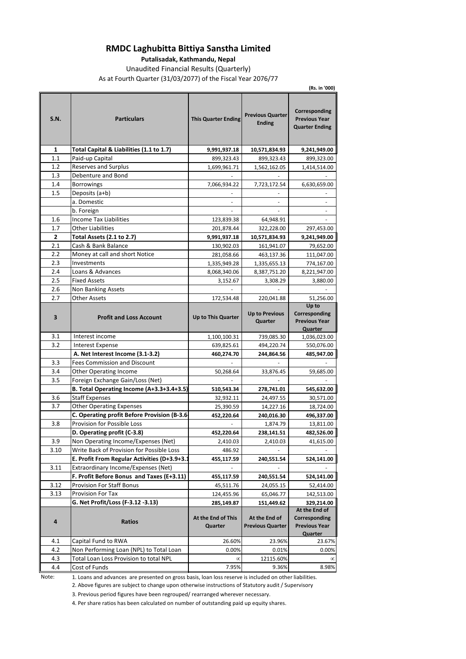### **RMDC Laghubitta Bittiya Sanstha Limited**

**Putalisadak, Kathmandu, Nepal**

Unaudited Financial Results (Quarterly) As at Fourth Quarter (31/03/2077) of the Fiscal Year 2076/77

**(Rs. in '000)**

| S.N. | <b>Particulars</b>                           | <b>This Quarter Ending</b> | <b>Previous Quarter</b><br><b>Ending</b> | Corresponding<br><b>Previous Year</b><br><b>Quarter Ending</b> |
|------|----------------------------------------------|----------------------------|------------------------------------------|----------------------------------------------------------------|
| 1    | Total Capital & Liabilities (1.1 to 1.7)     | 9,991,937.18               | 10,571,834.93                            | 9,241,949.00                                                   |
| 1.1  | Paid-up Capital                              | 899,323.43                 | 899,323.43                               | 899,323.00                                                     |
| 1.2  | Reserves and Surplus                         | 1,699,961.71               | 1,562,162.05                             | 1,414,514.00                                                   |
| 1.3  | Debenture and Bond                           |                            |                                          |                                                                |
| 1.4  | <b>Borrowings</b>                            | 7,066,934.22               | 7,723,172.54                             | 6,630,659.00                                                   |
| 1.5  | Deposits (a+b)                               |                            |                                          |                                                                |
|      | a. Domestic                                  |                            |                                          |                                                                |
|      | b. Foreign                                   |                            |                                          |                                                                |
| 1.6  | <b>Income Tax Liabilities</b>                | 123,839.38                 | 64,948.91                                |                                                                |
| 1.7  | <b>Other Liabilities</b>                     | 201,878.44                 | 322,228.00                               | 297,453.00                                                     |
| 2    | Total Assets (2.1 to 2.7)                    | 9,991,937.18               | 10,571,834.93                            | 9,241,949.00                                                   |
| 2.1  | Cash & Bank Balance                          | 130,902.03                 | 161,941.07                               | 79,652.00                                                      |
| 2.2  | Money at call and short Notice               | 281,058.66                 | 463,137.36                               | 111,047.00                                                     |
| 2.3  | Investments                                  | 1,335,949.28               | 1,335,655.13                             | 774,167.00                                                     |
| 2.4  | Loans & Advances                             | 8,068,340.06               | 8,387,751.20                             | 8,221,947.00                                                   |
| 2.5  | <b>Fixed Assets</b>                          | 3,152.67                   | 3,308.29                                 | 3,880.00                                                       |
| 2.6  | Non Banking Assets                           |                            |                                          |                                                                |
| 2.7  | <b>Other Assets</b>                          | 172,534.48                 | 220,041.88                               | 51,256.00                                                      |
|      |                                              |                            |                                          | Up to                                                          |
| 3    | <b>Profit and Loss Account</b>               | Up to This Quarter         | <b>Up to Previous</b><br>Quarter         | Corresponding<br><b>Previous Year</b>                          |
|      |                                              |                            |                                          | Quarter                                                        |
| 3.1  | Interest income                              | 1,100,100.31               | 739,085.30                               | 1,036,023.00                                                   |
| 3.2  | <b>Interest Expense</b>                      | 639,825.61                 | 494,220.74                               | 550,076.00                                                     |
|      | A. Net Interest Income (3.1-3.2)             | 460,274.70                 | 244,864.56                               | 485,947.00                                                     |
| 3.3  | <b>Fees Commission and Discount</b>          |                            |                                          |                                                                |
| 3.4  | Other Operating Income                       | 50,268.64                  | 33,876.45                                | 59,685.00                                                      |
| 3.5  | Foreign Exchange Gain/Loss (Net)             |                            |                                          |                                                                |
|      | B. Total Operating Income (A+3.3+3.4+3.5)    | 510,543.34                 | 278,741.01                               | 545,632.00                                                     |
| 3.6  | <b>Staff Expenses</b>                        | 32,932.11                  | 24,497.55                                | 30,571.00                                                      |
| 3.7  | <b>Other Operating Expenses</b>              | 25,390.59                  | 14,227.16                                | 18,724.00                                                      |
|      | C. Operating profit Before Provision (B-3.6- | 452,220.64                 | 240,016.30                               | 496,337.00                                                     |
| 3.8  | Provision for Possible Loss                  |                            | 1,874.79                                 | 13,811.00                                                      |
|      | D. Operating profit (C-3.8)                  | 452,220.64                 | 238,141.51                               | 482,526.00                                                     |
| 3.9  | Non Operating Income/Expenses (Net)          | 2,410.03                   | 2,410.03                                 | 41,615.00                                                      |
| 3.10 | Write Back of Provision for Possible Loss    | 486.92                     |                                          |                                                                |
|      | E. Profit From Regular Activities (D+3.9+3.  | 455,117.59                 | 240,551.54                               | 524,141.00                                                     |
| 3.11 | Extraordinary Income/Expenses (Net)          |                            |                                          |                                                                |
|      | F. Profit Before Bonus and Taxes (E+3.11)    | 455,117.59                 | 240,551.54                               | 524,141.00                                                     |
| 3.12 | <b>Provision For Staff Bonus</b>             | 45,511.76                  | 24,055.15                                | 52,414.00                                                      |
| 3.13 | Provision For Tax                            | 124,455.96                 | 65,046.77                                | 142,513.00                                                     |
|      | G. Net Profit/Loss (F-3.12 -3.13)            | 285,149.87                 | 151,449.62                               | 329,214.00                                                     |
|      |                                              | At the End of This         | At the End of                            | At the End of                                                  |
| 4    | <b>Ratios</b>                                | Quarter                    | <b>Previous Quarter</b>                  | Corresponding<br><b>Previous Year</b>                          |
|      |                                              |                            |                                          | Quarter                                                        |
| 4.1  | Capital Fund to RWA                          | 26.60%                     | 23.96%                                   | 23.67%                                                         |
| 4.2  | Non Performing Loan (NPL) to Total Loan      | 0.00%                      | 0.01%                                    | 0.00%                                                          |
| 4.3  | Total Loan Loss Provision to total NPL       | $\infty$                   | 12115.60%                                | $\infty$                                                       |
| 4.4  | Cost of Funds                                | 7.95%                      | 9.36%                                    | 8.98%                                                          |

Note: 1. Loans and advances are presented on gross basis, loan loss reserve is included on other liabilities.

2. Above figures are subject to change upon otherwise instructions of Statutory audit / Supervisory

3. Previous period figures have been regrouped/ rearranged wherever necessary.

4. Per share ratios has been calculated on number of outstanding paid up equity shares.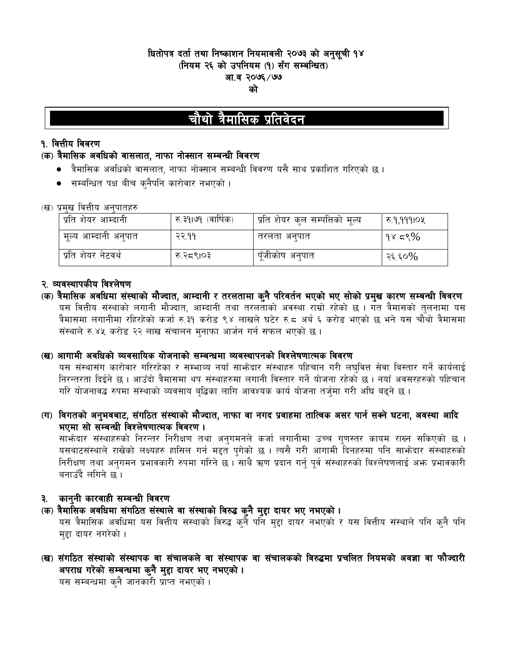# धितोपत्र दर्ता तथा निष्काशन नियमावली २०७३ को अनुसूची १४ (नियम २६ को उपनियम (१) सँग सम्बन्धित) आ.व २०७६ ∕ ७७ को

# चौथो त्रैमासिक प्रतिवेदन

### **१. वित्तीय विवरण**

### (क) त्रैमासिक अवधिको वासलात, नाफा नोक्सान सम्बन्धी विवरण

- त्रैमासिक अवधिको वासलात, नाफा नोक्सान सम्बन्धी विवरण यसै साथ प्रकाशित गरिएको छ ।
- सम्बन्धित पक्ष बीच क्नैपनि कारोवार नभएको ।

### (ख) प्रमख वित्तीय अनपातहरु

| प्रति शेयर आम्दानी     | रु ३१।७१ (वार्षिक) | । प्रति शेयर कुल सम्पत्तिको मूल्य | रु.१,१११।०५     |
|------------------------|--------------------|-----------------------------------|-----------------|
| , मूल्य आम्दानो अनुपात | २२.११              | तरलता अनुपात                      | $\gamma$ १४.८९% |
| प्रति शेयर नेटवर्थ     | रु २८९।०३          | पूँजीकोष अनुपात                   | २६.६०%          |

# २. व्यवस्थापकीय विश्लेषण

(क) त्रैमासिक अवधिमा संस्थाको मौज्दात, आम्दानी र तरलतामा कुनै परिवर्तन भएको भए सोको प्रमुख कारण सम्बन्धी विवरण यस वित्तीय संस्थाको लगानी मौज्दात, आम्दानी तथा तरलताको अवस्था राम्रो रहेको छ । गत त्रैमासको तुलनामा यस त्रैमासमा लगानीमा रहिरहेको कर्जा रु.३१ करोड ९४ लाखले घटेर रु.८ अर्ब ६ करोड भएको छ भने यस चौथो त्रैमासमा संस्थाले रु.४५ करोड २२ लाख संचालन मुनाफा आर्जन गर्न सफल भएको छ।

### (ख) आगामी अवधिको व्यवसायिक योजनाको सम्बन्धमा व्यवस्थापनको विश्लेषणात्मक विवरण

यस संस्थासंग कारोवार गरिरहेका र सम्भाव्य नयाँ साभ्रेदार संस्थाहरु पहिचान गरी लघवित्त सेवा बिस्तार गर्ने कार्यलाई निरन्तरता दिईने छ । आउँदो त्रैमासमा थप संस्थाहरुमा लगानी विस्तार गर्ने योजना रहेको छ । नयाँ अवसरहरुको पहिचान गरि योजनावद्ध रुपमा संस्थाको व्यवसाय बद्धिका लागि आवश्यक कार्य योजना तर्जुमा गरी अघि बढुने छ ।

(ग) विगतको अनुभवबाट, संगठित संस्थाको मौज्दात, नाफा वा नगद प्रवाहमा तात्विक असर पार्न सक्ने घटना, अवस्था आदि भएमा सो सम्बन्धी विश्लेषणात्मक विवरण ।

साभोदार संस्थाहरुको निरन्तर निरीक्षण तथा अनुगमनले कर्जा लगानीमा उच्च गुणस्तर कायम राख्न सकिएको छ । यसबाटसंस्थाले राखेको लक्ष्यहरु हासिल गर्न मद्दत पुगेको छ । त्यसै गरी आगामी दिनहरुमा पनि साफोदार संस्थाहरुको निरीक्षण तथा अनुगमन प्रभावकारी रुपमा गरिने छ । साथै ऋण प्रदान गर्नु पुर्व संस्थाहरुको बिश्लेषणलाई अफ प्रभावकारी बनाउँदै लगिने छ ।

# ३. कानुनी कारवाही सम्बन्धी विवरण

# (क) त्रैमासिक अवधिमा संगठित संस्थाले वा संस्थाको विरुद्ध कुनै मुद्दा दायर भए नभएको ।

यस त्रैमासिक अवधिमा यस वित्तीय संस्थाको विरुद्ध कुनै पनि महा दायर नभएको र यस वित्तीय संस्थाले पनि कुनै पनि महा दायर नगरेको ।

(ख) संगठित संस्थाको संस्थापक वा संचालकले वा संस्थापक वा संचालकको विरुद्धमा प्रचलित नियमको अवज्ञा वा फौज्दारी अपराध गरेको सम्बन्धमा कुनै मुद्दा दायर भए नभएको ।

यस सम्बन्धमा कुनै जानकारी प्राप्त नभएको ।